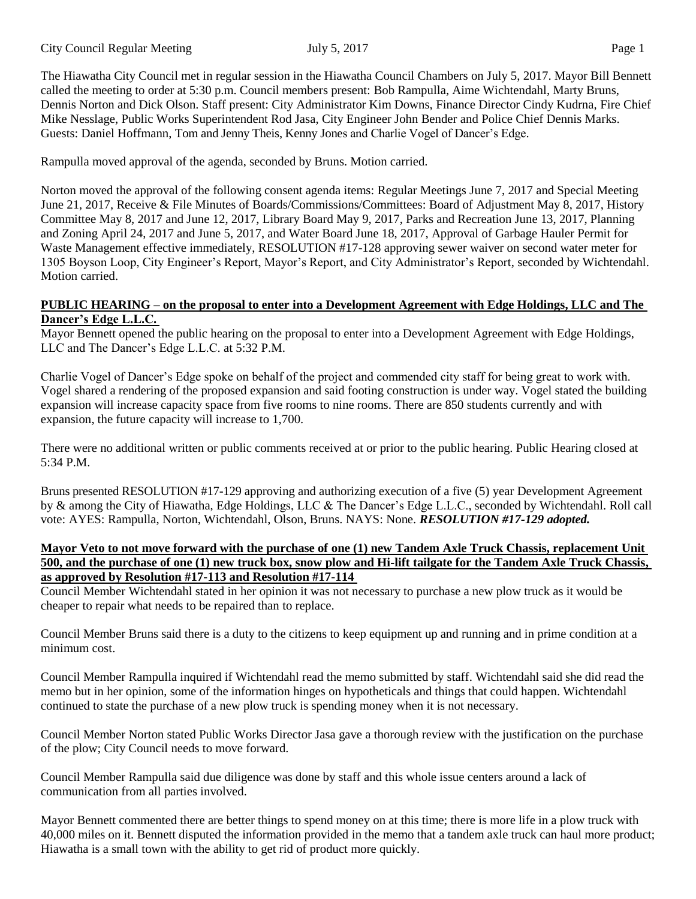The Hiawatha City Council met in regular session in the Hiawatha Council Chambers on July 5, 2017. Mayor Bill Bennett called the meeting to order at 5:30 p.m. Council members present: Bob Rampulla, Aime Wichtendahl, Marty Bruns, Dennis Norton and Dick Olson. Staff present: City Administrator Kim Downs, Finance Director Cindy Kudrna, Fire Chief Mike Nesslage, Public Works Superintendent Rod Jasa, City Engineer John Bender and Police Chief Dennis Marks. Guests: Daniel Hoffmann, Tom and Jenny Theis, Kenny Jones and Charlie Vogel of Dancer's Edge.

Rampulla moved approval of the agenda, seconded by Bruns. Motion carried.

Norton moved the approval of the following consent agenda items: Regular Meetings June 7, 2017 and Special Meeting June 21, 2017, Receive & File Minutes of Boards/Commissions/Committees: Board of Adjustment May 8, 2017, History Committee May 8, 2017 and June 12, 2017, Library Board May 9, 2017, Parks and Recreation June 13, 2017, Planning and Zoning April 24, 2017 and June 5, 2017, and Water Board June 18, 2017, Approval of Garbage Hauler Permit for Waste Management effective immediately, RESOLUTION #17-128 approving sewer waiver on second water meter for 1305 Boyson Loop, City Engineer's Report, Mayor's Report, and City Administrator's Report, seconded by Wichtendahl. Motion carried.

## **PUBLIC HEARING – on the proposal to enter into a Development Agreement with Edge Holdings, LLC and The Dancer's Edge L.L.C.**

Mayor Bennett opened the public hearing on the proposal to enter into a Development Agreement with Edge Holdings, LLC and The Dancer's Edge L.L.C. at 5:32 P.M.

Charlie Vogel of Dancer's Edge spoke on behalf of the project and commended city staff for being great to work with. Vogel shared a rendering of the proposed expansion and said footing construction is under way. Vogel stated the building expansion will increase capacity space from five rooms to nine rooms. There are 850 students currently and with expansion, the future capacity will increase to 1,700.

There were no additional written or public comments received at or prior to the public hearing. Public Hearing closed at 5:34 P.M.

Bruns presented RESOLUTION #17-129 approving and authorizing execution of a five (5) year Development Agreement by & among the City of Hiawatha, Edge Holdings, LLC & The Dancer's Edge L.L.C., seconded by Wichtendahl. Roll call vote: AYES: Rampulla, Norton, Wichtendahl, Olson, Bruns. NAYS: None. *RESOLUTION #17-129 adopted.*

### **Mayor Veto to not move forward with the purchase of one (1) new Tandem Axle Truck Chassis, replacement Unit 500, and the purchase of one (1) new truck box, snow plow and Hi-lift tailgate for the Tandem Axle Truck Chassis, as approved by Resolution #17-113 and Resolution #17-114**

Council Member Wichtendahl stated in her opinion it was not necessary to purchase a new plow truck as it would be cheaper to repair what needs to be repaired than to replace.

Council Member Bruns said there is a duty to the citizens to keep equipment up and running and in prime condition at a minimum cost.

Council Member Rampulla inquired if Wichtendahl read the memo submitted by staff. Wichtendahl said she did read the memo but in her opinion, some of the information hinges on hypotheticals and things that could happen. Wichtendahl continued to state the purchase of a new plow truck is spending money when it is not necessary.

Council Member Norton stated Public Works Director Jasa gave a thorough review with the justification on the purchase of the plow; City Council needs to move forward.

Council Member Rampulla said due diligence was done by staff and this whole issue centers around a lack of communication from all parties involved.

Mayor Bennett commented there are better things to spend money on at this time; there is more life in a plow truck with 40,000 miles on it. Bennett disputed the information provided in the memo that a tandem axle truck can haul more product; Hiawatha is a small town with the ability to get rid of product more quickly.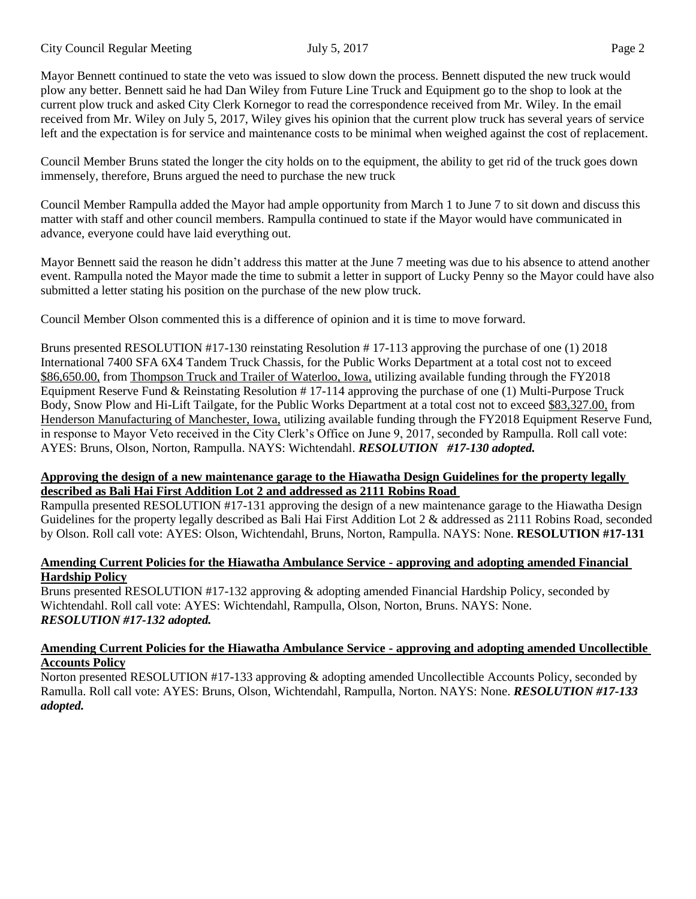City Council Regular Meeting July 5, 2017 Page 2

Mayor Bennett continued to state the veto was issued to slow down the process. Bennett disputed the new truck would plow any better. Bennett said he had Dan Wiley from Future Line Truck and Equipment go to the shop to look at the current plow truck and asked City Clerk Kornegor to read the correspondence received from Mr. Wiley. In the email received from Mr. Wiley on July 5, 2017, Wiley gives his opinion that the current plow truck has several years of service left and the expectation is for service and maintenance costs to be minimal when weighed against the cost of replacement.

Council Member Bruns stated the longer the city holds on to the equipment, the ability to get rid of the truck goes down immensely, therefore, Bruns argued the need to purchase the new truck

Council Member Rampulla added the Mayor had ample opportunity from March 1 to June 7 to sit down and discuss this matter with staff and other council members. Rampulla continued to state if the Mayor would have communicated in advance, everyone could have laid everything out.

Mayor Bennett said the reason he didn't address this matter at the June 7 meeting was due to his absence to attend another event. Rampulla noted the Mayor made the time to submit a letter in support of Lucky Penny so the Mayor could have also submitted a letter stating his position on the purchase of the new plow truck.

Council Member Olson commented this is a difference of opinion and it is time to move forward.

Bruns presented RESOLUTION #17-130 reinstating Resolution # 17-113 approving the purchase of one (1) 2018 International 7400 SFA 6X4 Tandem Truck Chassis, for the Public Works Department at a total cost not to exceed \$86,650.00, from Thompson Truck and Trailer of Waterloo, Iowa, utilizing available funding through the FY2018 Equipment Reserve Fund & Reinstating Resolution # 17-114 approving the purchase of one (1) Multi-Purpose Truck Body, Snow Plow and Hi-Lift Tailgate, for the Public Works Department at a total cost not to exceed \$83,327.00, from Henderson Manufacturing of Manchester, Iowa, utilizing available funding through the FY2018 Equipment Reserve Fund, in response to Mayor Veto received in the City Clerk's Office on June 9, 2017, seconded by Rampulla. Roll call vote: AYES: Bruns, Olson, Norton, Rampulla. NAYS: Wichtendahl. *RESOLUTION #17-130 adopted.*

### **Approving the design of a new maintenance garage to the Hiawatha Design Guidelines for the property legally described as Bali Hai First Addition Lot 2 and addressed as 2111 Robins Road**

Rampulla presented RESOLUTION #17-131 approving the design of a new maintenance garage to the Hiawatha Design Guidelines for the property legally described as Bali Hai First Addition Lot 2 & addressed as 2111 Robins Road, seconded by Olson. Roll call vote: AYES: Olson, Wichtendahl, Bruns, Norton, Rampulla. NAYS: None. **RESOLUTION #17-131**

# **Amending Current Policies for the Hiawatha Ambulance Service - approving and adopting amended Financial Hardship Policy**

Bruns presented RESOLUTION #17-132 approving & adopting amended Financial Hardship Policy, seconded by Wichtendahl. Roll call vote: AYES: Wichtendahl, Rampulla, Olson, Norton, Bruns. NAYS: None. *RESOLUTION #17-132 adopted.*

### **Amending Current Policies for the Hiawatha Ambulance Service - approving and adopting amended Uncollectible Accounts Policy**

Norton presented RESOLUTION #17-133 approving & adopting amended Uncollectible Accounts Policy, seconded by Ramulla. Roll call vote: AYES: Bruns, Olson, Wichtendahl, Rampulla, Norton. NAYS: None. *RESOLUTION #17-133 adopted.*